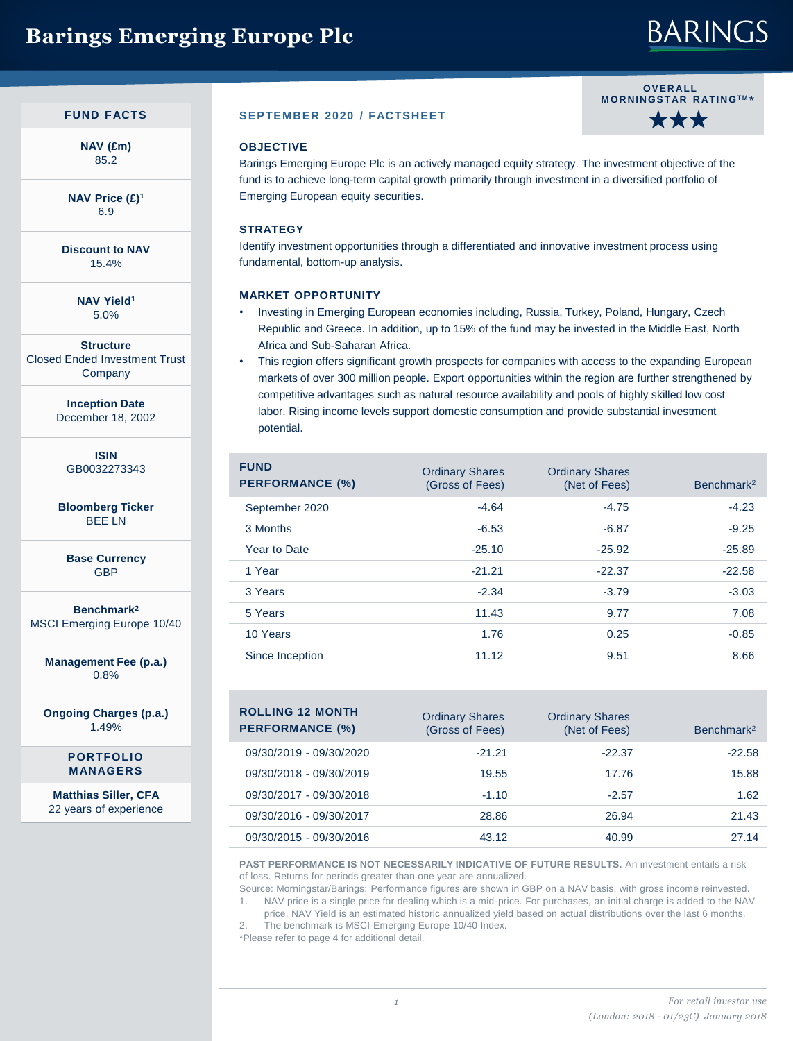## **Barings Emerging Europe Plc**

# **BARINGS**

**OV E R ALL M OR N IN GS TAR R ATIN GTM** \*

★★★

### **FUND FACTS**

**NAV (£m)** 85.2

**NAV Price (£)<sup>1</sup>** 6.9

**Discount to NAV** 15.4%

> **NAV Yield<sup>1</sup>** 5.0%

**Structure** Closed Ended Investment Trust **Company** 

> **Inception Date** December 18, 2002

> > **ISIN** GB0032273343

**Bloomberg Ticker** BEE LN

**Base Currency** GBP

**Benchmark<sup>2</sup>** MSCI Emerging Europe 10/40

**Management Fee (p.a.)** 0.8%

**Ongoing Charges (p.a.)** 1.49%

> **PORTFOLIO MANAGERS**

**Matthias Siller, CFA**  22 years of experience

### **SEPTEMBER 2020 / FACTSHEET**

### **OBJECTIVE**

Barings Emerging Europe Plc is an actively managed equity strategy. The investment objective of the fund is to achieve long-term capital growth primarily through investment in a diversified portfolio of Emerging European equity securities.

### **STRATEGY**

Identify investment opportunities through a differentiated and innovative investment process using fundamental, bottom-up analysis.

#### **MARKET OPPORTUNITY**

- Investing in Emerging European economies including, Russia, Turkey, Poland, Hungary, Czech Republic and Greece. In addition, up to 15% of the fund may be invested in the Middle East, North Africa and Sub-Saharan Africa.
- This region offers significant growth prospects for companies with access to the expanding European markets of over 300 million people. Export opportunities within the region are further strengthened by competitive advantages such as natural resource availability and pools of highly skilled low cost labor. Rising income levels support domestic consumption and provide substantial investment potential.

| <b>FUND</b><br><b>PERFORMANCE (%)</b> | <b>Ordinary Shares</b><br>(Gross of Fees) | <b>Ordinary Shares</b><br>(Net of Fees) | Benchmark <sup>2</sup> |
|---------------------------------------|-------------------------------------------|-----------------------------------------|------------------------|
| September 2020                        | $-4.64$                                   | $-4.75$                                 | $-4.23$                |
| 3 Months                              | $-6.53$                                   | $-6.87$                                 | $-9.25$                |
| Year to Date                          | $-25.10$                                  | $-25.92$                                | $-25.89$               |
| 1 Year                                | $-21.21$                                  | $-22.37$                                | $-22.58$               |
| 3 Years                               | $-2.34$                                   | $-3.79$                                 | $-3.03$                |
| 5 Years                               | 11.43                                     | 9.77                                    | 7.08                   |
| 10 Years                              | 1.76                                      | 0.25                                    | $-0.85$                |
| Since Inception                       | 11.12                                     | 9.51                                    | 8.66                   |

| <b>ROLLING 12 MONTH</b><br><b>PERFORMANCE (%)</b> | <b>Ordinary Shares</b><br>(Gross of Fees) | <b>Ordinary Shares</b><br>(Net of Fees) | Benchmark <sup>2</sup> |
|---------------------------------------------------|-------------------------------------------|-----------------------------------------|------------------------|
| 09/30/2019 - 09/30/2020                           | $-21.21$                                  | $-22.37$                                | $-22.58$               |
| 09/30/2018 - 09/30/2019                           | 19.55                                     | 17.76                                   | 15.88                  |
| 09/30/2017 - 09/30/2018                           | $-1.10$                                   | $-2.57$                                 | 1.62                   |
| 09/30/2016 - 09/30/2017                           | 28.86                                     | 26.94                                   | 21.43                  |
| 09/30/2015 - 09/30/2016                           | 43.12                                     | 40.99                                   | 27.14                  |

**PAST PERFORMANCE IS NOT NECESSARILY INDICATIVE OF FUTURE RESULTS.** An investment entails a risk of loss. Returns for periods greater than one year are annualized.

Source: Morningstar/Barings: Performance figures are shown in GBP on a NAV basis, with gross income reinvested. 1. NAV price is a single price for dealing which is a mid-price. For purchases, an initial charge is added to the NAV

price. NAV Yield is an estimated historic annualized yield based on actual distributions over the last 6 months. 2. The benchmark is MSCI Emerging Europe 10/40 Index.

\*Please refer to page 4 for additional detail.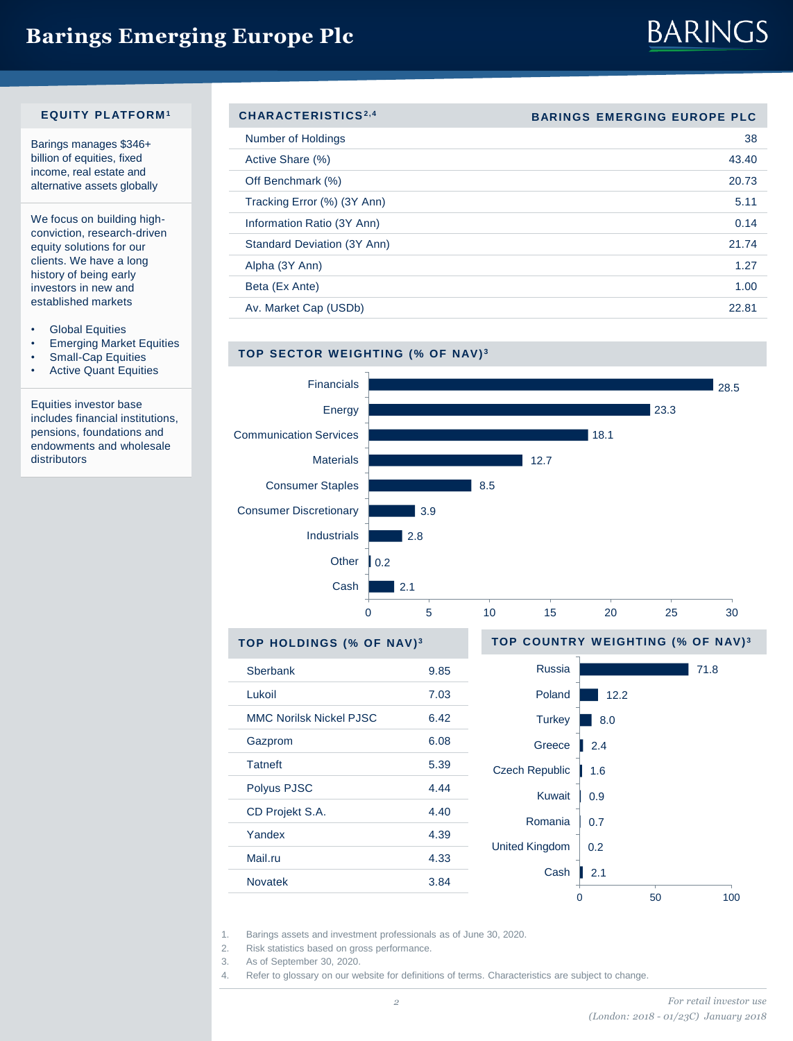## **Barings Emerging Europe Plc**

# **BARINGS**

#### **EQUITY PLATFORM <sup>1</sup>**

Barings manages \$346+ billion of equities, fixed income, real estate and alternative assets globally

We focus on building highconviction, research-driven equity solutions for our clients. We have a long history of being early investors in new and established markets

- Global Equities
- Emerging Market Equities
- Small-Cap Equities
- Active Quant Equities

Equities investor base includes financial institutions, pensions, foundations and endowments and wholesale distributors

| CHARACTERISTICS <sup>2,4</sup> | <b>BARINGS EMERGING EUROPE PLC</b> |
|--------------------------------|------------------------------------|
| Number of Holdings             | 38                                 |
| Active Share (%)               | 43.40                              |
| Off Benchmark (%)              | 20.73                              |
| Tracking Error (%) (3Y Ann)    | 5.11                               |
| Information Ratio (3Y Ann)     | 0.14                               |
| Standard Deviation (3Y Ann)    | 21.74                              |
| Alpha (3Y Ann)                 | 1.27                               |
| Beta (Ex Ante)                 | 1.00                               |
| Av. Market Cap (USDb)          | 22.81                              |





1. Barings assets and investment professionals as of June 30, 2020.

Polyus PJSC 4.44 CD Projekt S.A. 4.40 Yandex 4.39 Mail.ru 4.33 Novatek 3.84

2. Risk statistics based on gross performance.

3. As of September 30, 2020.

4. Refer to glossary on our website for definitions of terms. Characteristics are subject to change.

0 50 100

2.1 0.2 0.7 0.9 1.6

Cash

Romania Kuwait

United Kingdom

Czech Republic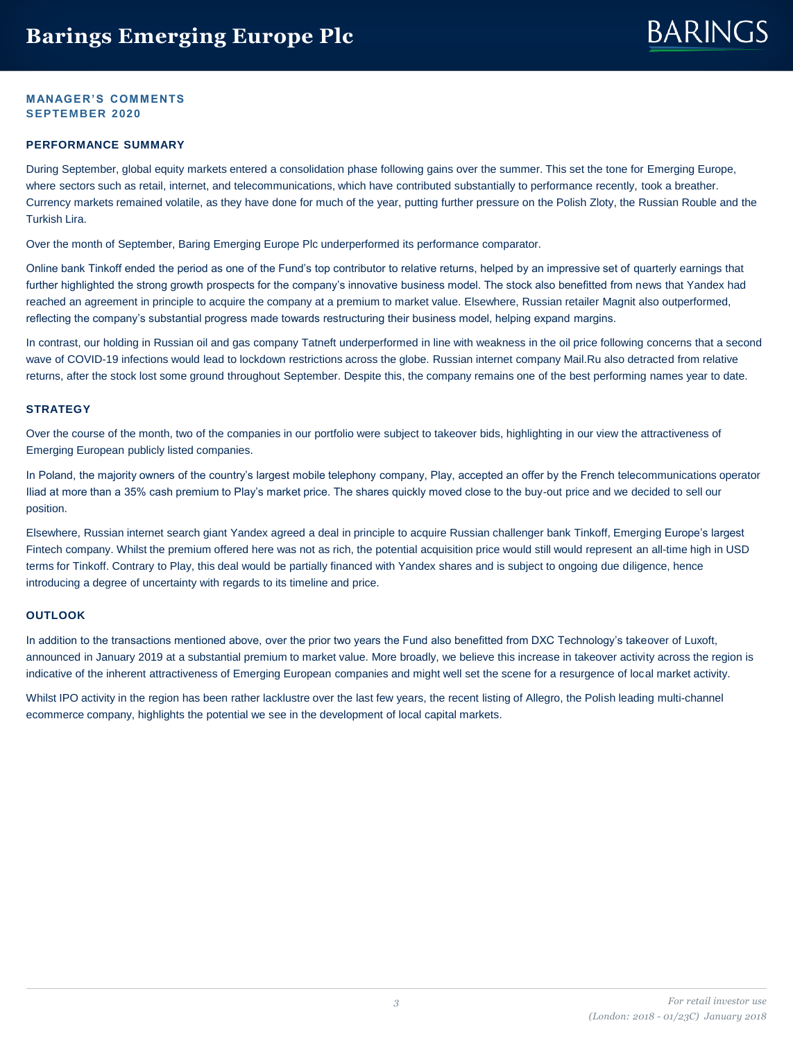# **BARINGS**

### **MANAGER'S COMMENTS SEPTEMBER 2020**

#### **PERFORMANCE SUMMARY**

During September, global equity markets entered a consolidation phase following gains over the summer. This set the tone for Emerging Europe, where sectors such as retail, internet, and telecommunications, which have contributed substantially to performance recently, took a breather. Currency markets remained volatile, as they have done for much of the year, putting further pressure on the Polish Zloty, the Russian Rouble and the Turkish Lira.

Over the month of September, Baring Emerging Europe Plc underperformed its performance comparator.

Online bank Tinkoff ended the period as one of the Fund's top contributor to relative returns, helped by an impressive set of quarterly earnings that further highlighted the strong growth prospects for the company's innovative business model. The stock also benefitted from news that Yandex had reached an agreement in principle to acquire the company at a premium to market value. Elsewhere, Russian retailer Magnit also outperformed, reflecting the company's substantial progress made towards restructuring their business model, helping expand margins.

In contrast, our holding in Russian oil and gas company Tatneft underperformed in line with weakness in the oil price following concerns that a second wave of COVID-19 infections would lead to lockdown restrictions across the globe. Russian internet company Mail.Ru also detracted from relative returns, after the stock lost some ground throughout September. Despite this, the company remains one of the best performing names year to date.

#### **STRATEGY**

Over the course of the month, two of the companies in our portfolio were subject to takeover bids, highlighting in our view the attractiveness of Emerging European publicly listed companies.

In Poland, the majority owners of the country's largest mobile telephony company, Play, accepted an offer by the French telecommunications operator Iliad at more than a 35% cash premium to Play's market price. The shares quickly moved close to the buy-out price and we decided to sell our position.

Elsewhere, Russian internet search giant Yandex agreed a deal in principle to acquire Russian challenger bank Tinkoff, Emerging Europe's largest Fintech company. Whilst the premium offered here was not as rich, the potential acquisition price would still would represent an all-time high in USD terms for Tinkoff. Contrary to Play, this deal would be partially financed with Yandex shares and is subject to ongoing due diligence, hence introducing a degree of uncertainty with regards to its timeline and price.

#### **OUTLOOK**

In addition to the transactions mentioned above, over the prior two years the Fund also benefitted from DXC Technology's takeover of Luxoft, announced in January 2019 at a substantial premium to market value. More broadly, we believe this increase in takeover activity across the region is indicative of the inherent attractiveness of Emerging European companies and might well set the scene for a resurgence of local market activity.

Whilst IPO activity in the region has been rather lacklustre over the last few years, the recent listing of Allegro, the Polish leading multi-channel ecommerce company, highlights the potential we see in the development of local capital markets.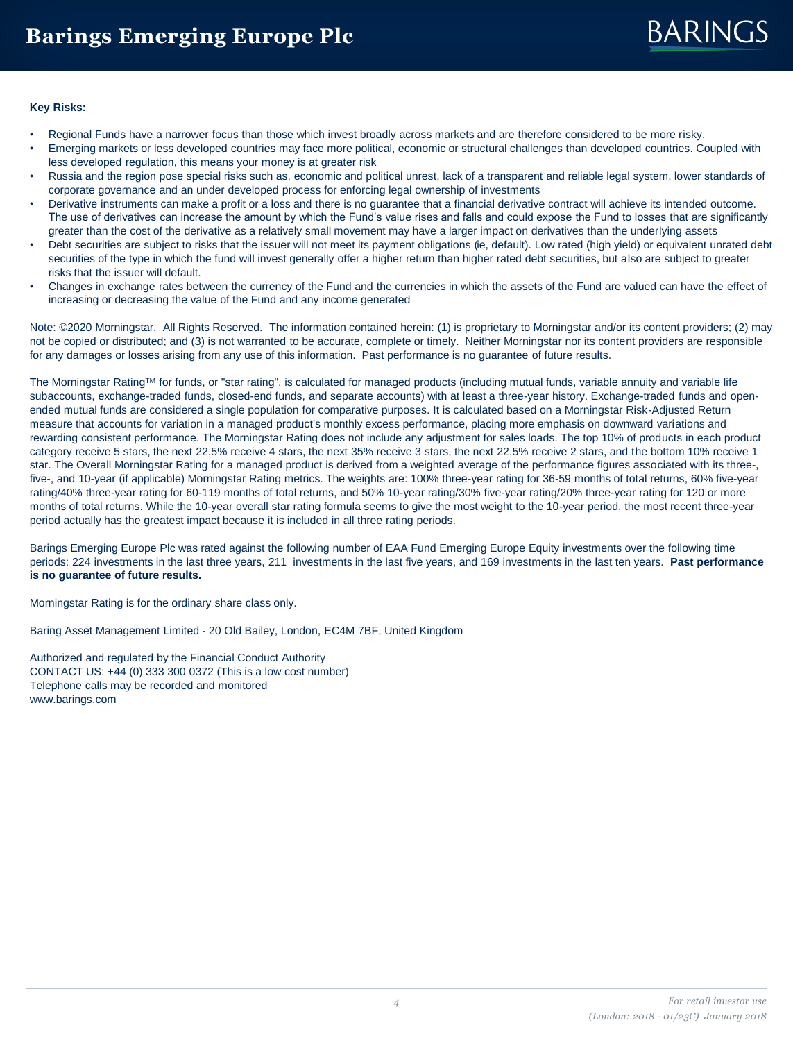# **BARINGS**

#### **Key Risks:**

- Regional Funds have a narrower focus than those which invest broadly across markets and are therefore considered to be more risky.
- Emerging markets or less developed countries may face more political, economic or structural challenges than developed countries. Coupled with less developed regulation, this means your money is at greater risk
- Russia and the region pose special risks such as, economic and political unrest, lack of a transparent and reliable legal system, lower standards of corporate governance and an under developed process for enforcing legal ownership of investments
- Derivative instruments can make a profit or a loss and there is no guarantee that a financial derivative contract will achieve its intended outcome. The use of derivatives can increase the amount by which the Fund's value rises and falls and could expose the Fund to losses that are significantly greater than the cost of the derivative as a relatively small movement may have a larger impact on derivatives than the underlying assets
- Debt securities are subject to risks that the issuer will not meet its payment obligations (ie, default). Low rated (high yield) or equivalent unrated debt securities of the type in which the fund will invest generally offer a higher return than higher rated debt securities, but also are subject to greater risks that the issuer will default.
- Changes in exchange rates between the currency of the Fund and the currencies in which the assets of the Fund are valued can have the effect of increasing or decreasing the value of the Fund and any income generated

Note: ©2020 Morningstar. All Rights Reserved. The information contained herein: (1) is proprietary to Morningstar and/or its content providers; (2) may not be copied or distributed; and (3) is not warranted to be accurate, complete or timely. Neither Morningstar nor its content providers are responsible for any damages or losses arising from any use of this information. Past performance is no guarantee of future results.

The Morningstar RatingTM for funds, or "star rating", is calculated for managed products (including mutual funds, variable annuity and variable life subaccounts, exchange-traded funds, closed-end funds, and separate accounts) with at least a three-year history. Exchange-traded funds and openended mutual funds are considered a single population for comparative purposes. It is calculated based on a Morningstar Risk-Adjusted Return measure that accounts for variation in a managed product's monthly excess performance, placing more emphasis on downward variations and rewarding consistent performance. The Morningstar Rating does not include any adjustment for sales loads. The top 10% of products in each product category receive 5 stars, the next 22.5% receive 4 stars, the next 35% receive 3 stars, the next 22.5% receive 2 stars, and the bottom 10% receive 1 star. The Overall Morningstar Rating for a managed product is derived from a weighted average of the performance figures associated with its three-, five-, and 10-year (if applicable) Morningstar Rating metrics. The weights are: 100% three-year rating for 36-59 months of total returns, 60% five-year rating/40% three-year rating for 60-119 months of total returns, and 50% 10-year rating/30% five-year rating/20% three-year rating for 120 or more months of total returns. While the 10-year overall star rating formula seems to give the most weight to the 10-year period, the most recent three-year period actually has the greatest impact because it is included in all three rating periods.

Barings Emerging Europe Plc was rated against the following number of EAA Fund Emerging Europe Equity investments over the following time periods: 224 investments in the last three years, 211 investments in the last five years, and 169 investments in the last ten years. **Past performance is no guarantee of future results.** 

Morningstar Rating is for the ordinary share class only.

Baring Asset Management Limited - 20 Old Bailey, London, EC4M 7BF, United Kingdom

Authorized and regulated by the Financial Conduct Authority CONTACT US: +44 (0) 333 300 0372 (This is a low cost number) Telephone calls may be recorded and monitored www.barings.com